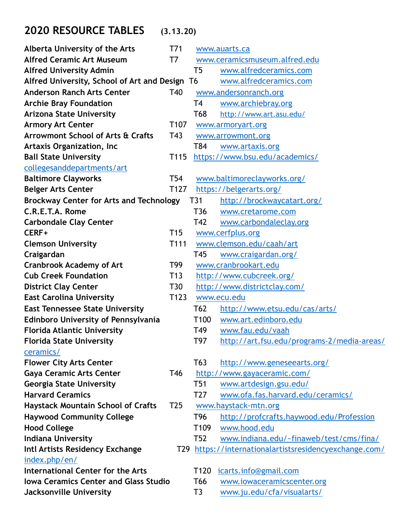## **2020 RESOURCE TABLES (3.13.20)**

| Alberta University of the Arts                 | T71              |                  | www.auarts.ca                                      |
|------------------------------------------------|------------------|------------------|----------------------------------------------------|
| <b>Alfred Ceramic Art Museum</b>               | T7               |                  | www.ceramicsmuseum.alfred.edu                      |
| <b>Alfred University Admin</b>                 |                  | T <sub>5</sub>   | www.alfredceramics.com                             |
| Alfred University, School of Art and Design T6 |                  |                  | www.alfredceramics.com                             |
| <b>Anderson Ranch Arts Center</b>              | T40              |                  | www.andersonranch.org                              |
| <b>Archie Bray Foundation</b>                  |                  | T4               | www.archiebray.org                                 |
| <b>Arizona State University</b>                |                  | T68              | http://www.art.asu.edu/                            |
| <b>Armory Art Center</b>                       | T <sub>107</sub> |                  | www.armoryart.org                                  |
| Arrowmont School of Arts & Crafts              | T43              |                  | www.arrowmont.org                                  |
| <b>Artaxis Organization, Inc</b>               |                  | T84              | www.artaxis.org                                    |
| <b>Ball State University</b>                   | T <sub>115</sub> |                  | https://www.bsu.edu/academics/                     |
| collegesanddepartments/art                     |                  |                  |                                                    |
| <b>Baltimore Clayworks</b>                     | T54              |                  | www.baltimoreclayworks.org/                        |
| <b>Belger Arts Center</b>                      | T <sub>127</sub> |                  | https://belgerarts.org/                            |
| <b>Brockway Center for Arts and Technology</b> |                  | T31              | http://brockwaycatart.org/                         |
| C.R.E.T.A. Rome                                |                  | T36              | www.cretarome.com                                  |
| <b>Carbondale Clay Center</b>                  |                  | T42              | www.carbondaleclay.org                             |
| CERF+                                          | T <sub>15</sub>  |                  | www.cerfplus.org                                   |
| <b>Clemson University</b>                      | T111             |                  | www.clemson.edu/caah/art                           |
| Craigardan                                     |                  | T45              | www.craigardan.org/                                |
| <b>Cranbrook Academy of Art</b>                | T99              |                  | www.cranbrookart.edu                               |
| <b>Cub Creek Foundation</b>                    | T13              |                  | http://www.cubcreek.org/                           |
| <b>District Clay Center</b>                    | T30              |                  | http://www.districtclay.com/                       |
| <b>East Carolina University</b>                | T123             |                  | www.ecu.edu                                        |
| <b>East Tennessee State University</b>         |                  | T62              | http://www.etsu.edu/cas/arts/                      |
| <b>Edinboro University of Pennsylvania</b>     |                  | T <sub>100</sub> | www.art.edinboro.edu                               |
| <b>Florida Atlantic University</b>             |                  | T49              | www.fau.edu/vaah                                   |
| <b>Florida State University</b>                |                  | T97              | http://art.fsu.edu/programs-2/media-areas/         |
| ceramics/                                      |                  |                  |                                                    |
| <b>Flower City Arts Center</b>                 |                  | T63              | http://www.geneseearts.org/                        |
| <b>Gaya Ceramic Arts Center</b>                | T46              |                  | http://www.gayaceramic.com/                        |
| <b>Georgia State University</b>                |                  | T <sub>51</sub>  | www.artdesign.gsu.edu/                             |
| <b>Harvard Ceramics</b>                        |                  | T <sub>27</sub>  | www.ofa.fas.harvard.edu/ceramics/                  |
| <b>Haystack Mountain School of Crafts</b>      | T <sub>25</sub>  |                  | www.haystack-mtn.org                               |
| <b>Haywood Community College</b>               |                  | T <sub>96</sub>  | http://profcrafts.haywood.edu/Profession           |
| <b>Hood College</b>                            |                  | T <sub>109</sub> | www.hood.edu                                       |
| <b>Indiana University</b>                      |                  | T <sub>52</sub>  | www.indiana.edu/~finaweb/test/cms/fina/            |
| Intl Artists Residency Exchange                | T29              |                  | https://internationalartistsresidencyexchange.com/ |
| index.php/en/                                  |                  |                  |                                                    |
| <b>International Center for the Arts</b>       |                  | T <sub>120</sub> | icarts.info@gmail.com                              |
| <b>Iowa Ceramics Center and Glass Studio</b>   |                  | T <sub>66</sub>  | www.iowaceramicscenter.org                         |
| Jacksonville University                        |                  | T <sub>3</sub>   | www.ju.edu/cfa/visualarts/                         |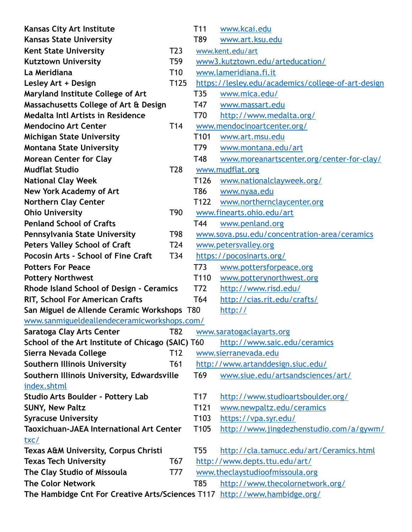| <b>Kansas City Art Institute</b>                                          |                  | T <sub>11</sub>                                    | www.kcai.edu                                 |  |
|---------------------------------------------------------------------------|------------------|----------------------------------------------------|----------------------------------------------|--|
| <b>Kansas State University</b>                                            |                  | T89                                                | www.art.ksu.edu                              |  |
| <b>Kent State University</b>                                              | T <sub>23</sub>  | www.kent.edu/art                                   |                                              |  |
| <b>Kutztown University</b>                                                | T <sub>59</sub>  | www3.kutztown.edu/arteducation/                    |                                              |  |
| La Meridiana                                                              | T <sub>10</sub>  | www.lameridiana.fi.it                              |                                              |  |
| Lesley Art + Design                                                       | T <sub>125</sub> | https://lesley.edu/academics/college-of-art-design |                                              |  |
| Maryland Institute College of Art                                         |                  | T35                                                | www.mica.edu/                                |  |
| Massachusetts College of Art & Design                                     |                  | T47                                                | www.massart.edu                              |  |
| <b>Medalta Intl Artists in Residence</b>                                  |                  | T70                                                | http://www.medalta.org/                      |  |
| <b>Mendocino Art Center</b>                                               | T14              |                                                    | www.mendocinoartcenter.org/                  |  |
| <b>Michigan State University</b>                                          |                  | T <sub>101</sub>                                   | www.art.msu.edu                              |  |
| <b>Montana State University</b>                                           |                  | T79                                                | www.montana.edu/art                          |  |
| <b>Morean Center for Clay</b>                                             |                  | T48                                                | www.moreanartscenter.org/center-for-clay/    |  |
| <b>Mudflat Studio</b>                                                     | <b>T28</b>       |                                                    | www.mudflat.org                              |  |
| <b>National Clay Week</b>                                                 |                  | T126                                               | www.nationalclayweek.org/                    |  |
| <b>New York Academy of Art</b>                                            |                  | T86                                                | www.nyaa.edu                                 |  |
| <b>Northern Clay Center</b>                                               |                  | T122                                               | www.northernclaycenter.org                   |  |
| <b>Ohio University</b>                                                    | T90              |                                                    | www.finearts.ohio.edu/art                    |  |
| <b>Penland School of Crafts</b>                                           |                  | T44                                                | www.penland.org                              |  |
| Pennsylvania State University                                             | T98              |                                                    | www.sova.psu.edu/concentration-area/ceramics |  |
| <b>Peters Valley School of Craft</b>                                      | T <sub>24</sub>  |                                                    | www.petersvalley.org                         |  |
| <b>Pocosin Arts - School of Fine Craft</b>                                | T34              |                                                    | https://pocosinarts.org/                     |  |
| <b>Potters For Peace</b>                                                  |                  | T <sub>73</sub>                                    | www.pottersforpeace.org                      |  |
| <b>Pottery Northwest</b>                                                  |                  | T110                                               | www.potterynorthwest.org                     |  |
| Rhode Island School of Design - Ceramics                                  |                  | T72                                                | http://www.risd.edu/                         |  |
| <b>RIT, School For American Crafts</b>                                    |                  | T64                                                | http://cias.rit.edu/crafts/                  |  |
| San Miguel de Allende Ceramic Workshops T80                               |                  | http://                                            |                                              |  |
| www.sanmigueldeallendeceramicworkshops.com/                               |                  |                                                    |                                              |  |
| Saratoga Clay Arts Center                                                 | T82              |                                                    | www.saratogaclayarts.org                     |  |
| School of the Art Institute of Chicago (SAIC) T60                         |                  |                                                    | http://www.saic.edu/ceramics                 |  |
| Sierra Nevada College                                                     | T <sub>12</sub>  |                                                    | www.sierranevada.edu                         |  |
| <b>Southern Illinois University</b>                                       | T61              |                                                    | http://www.artanddesign.siuc.edu/            |  |
| Southern Illinois University, Edwardsville                                |                  | T69                                                | www.siue.edu/artsandsciences/art/            |  |
| index.shtml                                                               |                  |                                                    |                                              |  |
| <b>Studio Arts Boulder - Pottery Lab</b>                                  |                  | T17                                                | http://www.studioartsboulder.org/            |  |
| <b>SUNY, New Paltz</b>                                                    |                  | T121                                               | www.newpaltz.edu/ceramics                    |  |
| <b>Syracuse University</b>                                                |                  | T <sub>103</sub>                                   | https://vpa.syr.edu/                         |  |
| <b>Taoxichuan-JAEA International Art Center</b>                           |                  | T <sub>105</sub>                                   | http://www.jingdezhenstudio.com/a/gywm/      |  |
| txc/                                                                      |                  |                                                    |                                              |  |
| Texas A&M University, Corpus Christi                                      |                  | T <sub>55</sub>                                    | http://cla.tamucc.edu/art/Ceramics.html      |  |
| <b>Texas Tech University</b>                                              | T67              |                                                    | http://www.depts.ttu.edu/art/                |  |
| The Clay Studio of Missoula                                               | T77              |                                                    | www.theclaystudioofmissoula.org              |  |
| <b>The Color Network</b>                                                  |                  | T85                                                | http://www.thecolornetwork.org/              |  |
| The Hambidge Cnt For Creative Arts/Sciences T117 http://www.hambidge.org/ |                  |                                                    |                                              |  |